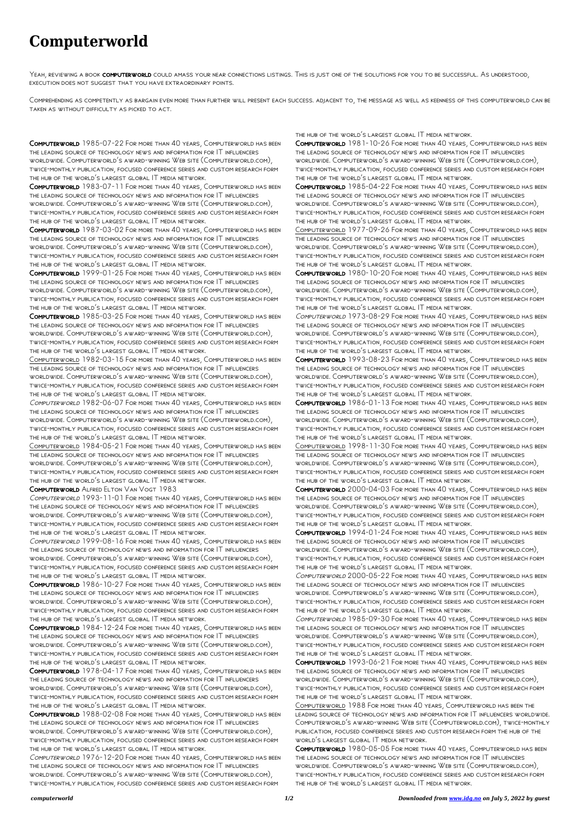## **Computerworld**

YEAH, REVIEWING A BOOK COMPUTERWORLD COULD AMASS YOUR NEAR CONNECTIONS LISTINGS. THIS IS JUST ONE OF THE SOLUTIONS FOR YOU TO BE SUCCESSFUL. AS UNDERSTOOD, execution does not suggest that you have extraordinary points.

Comprehending as competently as bargain even more than further will present each success. adjacent to, the message as well as keenness of this computerworld can be taken as without difficulty as picked to act.

Computerworld 1985-07-22 For more than 40 years, Computerworld has been the leading source of technology news and information for IT influencers worldwide. Computerworld's award-winning Web site (Computerworld.com), twice-monthly publication, focused conference series and custom research form the hub of the world's largest global IT media network.

Computerworld 1983-07-11 For more than 40 years, Computerworld has been the leading source of technology news and information for IT influencers worldwide. Computerworld's award-winning Web site (Computerworld.com), twice-monthly publication, focused conference series and custom research form the hub of the world's largest global IT media network.

Computerworld 1987-03-02 For more than 40 years, Computerworld has been the leading source of technology news and information for IT influencers worldwide. Computerworld's award-winning Web site (Computerworld.com), twice-monthly publication, focused conference series and custom research form the hub of the world's largest global IT media network.

Computerworld 1999-01-25 For more than 40 years, Computerworld has been the leading source of technology news and information for IT influencers worldwide. Computerworld's award-winning Web site (Computerworld.com), twice-monthly publication, focused conference series and custom research form the hub of the world's largest global IT media network.

Computerworld 1985-03-25 For more than 40 years, Computerworld has been the leading source of technology news and information for IT influencers worldwide. Computerworld's award-winning Web site (Computerworld.com), twice-monthly publication, focused conference series and custom research form the hub of the world's largest global IT media network.

Computerworld 1982-03-15 For more than 40 years, Computerworld has been the leading source of technology news and information for IT influencers worldwide. Computerworld's award-winning Web site (Computerworld.com), twice-monthly publication, focused conference series and custom research form the hub of the world's largest global IT media network.

Computerworld 1982-06-07 For more than 40 years, Computerworld has been the leading source of technology news and information for IT influencers worldwide. Computerworld's award-winning Web site (Computerworld.com), twice-monthly publication, focused conference series and custom research form the hub of the world's largest global IT media network.

Computerworld 1984-05-21 For more than 40 years, Computerworld has been the leading source of technology news and information for IT influencers worldwide. Computerworld's award-winning Web site (Computerworld.com), twice-monthly publication, focused conference series and custom research form the hub of the world's largest global IT media network.

Computerworld Alfred Elton Van Vogt 1983

Computerworld 1993-11-01 For more than 40 years, Computerworld has been the leading source of technology news and information for IT influencers worldwide. Computerworld's award-winning Web site (Computerworld.com), twice-monthly publication, focused conference series and custom research form the hub of the world's largest global IT media network.

Computerworld 1999-08-16 For more than 40 years, Computerworld has been the leading source of technology news and information for IT influencers worldwide. Computerworld's award-winning Web site (Computerworld.com), twice-monthly publication, focused conference series and custom research form the hub of the world's largest global IT media network.

Computerworld 1986-10-27 For more than 40 years, Computerworld has been the leading source of technology news and information for IT influencers worldwide. Computerworld's award-winning Web site (Computerworld.com), twice-monthly publication, focused conference series and custom research form the hub of the world's largest global IT media network.

Computerworld 1984-12-24 For more than 40 years, Computerworld has been the leading source of technology news and information for IT influencers worldwide. Computerworld's award-winning Web site (Computerworld.com), twice-monthly publication, focused conference series and custom research form the hub of the world's largest global IT media network. Computerworld 1978-04-17 For more than 40 years, Computerworld has been the leading source of technology news and information for IT influencers worldwide. Computerworld's award-winning Web site (Computerworld.com), twice-monthly publication, focused conference series and custom research form the hub of the world's largest global IT media network. Computerworld 1988-02-08 For more than 40 years, Computerworld has been the leading source of technology news and information for IT influencers

worldwide. Computerworld's award-winning Web site (Computerworld.com), twice-monthly publication, focused conference series and custom research form the hub of the world's largest global IT media network.

Computerworld 1976-12-20 For more than 40 years, Computerworld has been the leading source of technology news and information for IT influencers worldwide. Computerworld's award-winning Web site (Computerworld.com), twice-monthly publication, focused conference series and custom research form

the hub of the world's largest global IT media network.

Computerworld 1981-10-26 For more than 40 years, Computerworld has been the leading source of technology news and information for IT influencers worldwide. Computerworld's award-winning Web site (Computerworld.com), twice-monthly publication, focused conference series and custom research form the hub of the world's largest global IT media network.

Computerworld 1985-04-22 For more than 40 years, Computerworld has been the leading source of technology news and information for IT influencers worldwide. Computerworld's award-winning Web site (Computerworld.com), twice-monthly publication, focused conference series and custom research form the hub of the world's largest global IT media network.

Computerworld 1977-09-26 For more than 40 years, Computerworld has been the leading source of technology news and information for IT influencers worldwide. Computerworld's award-winning Web site (Computerworld.com), twice-monthly publication, focused conference series and custom research form the hub of the world's largest global IT media network.

Computerworld 1980-10-20 For more than 40 years, Computerworld has been the leading source of technology news and information for IT influencers worldwide. Computerworld's award-winning Web site (Computerworld.com), twice-monthly publication, focused conference series and custom research form the hub of the world's largest global IT media network.

Computerworld 1973-08-29 For more than 40 years, Computerworld has been the leading source of technology news and information for IT influencers worldwide. Computerworld's award-winning Web site (Computerworld.com), twice-monthly publication, focused conference series and custom research form the hub of the world's largest global IT media network.

Computerworld 1993-08-23 For more than 40 years, Computerworld has been the leading source of technology news and information for IT influencers worldwide. Computerworld's award-winning Web site (Computerworld.com), twice-monthly publication, focused conference series and custom research form the hub of the world's largest global IT media network.

Computerworld 1986-01-13 For more than 40 years, Computerworld has been the leading source of technology news and information for IT influencers worldwide. Computerworld's award-winning Web site (Computerworld.com), twice-monthly publication, focused conference series and custom research form the hub of the world's largest global IT media network.

Computerworld 1998-11-30 For more than 40 years, Computerworld has been the leading source of technology news and information for IT influencers worldwide. Computerworld's award-winning Web site (Computerworld.com), twice-monthly publication, focused conference series and custom research form the hub of the world's largest global IT media network.

Computerworld 2000-04-03 For more than 40 years, Computerworld has been the leading source of technology news and information for IT influencers worldwide. Computerworld's award-winning Web site (Computerworld.com), twice-monthly publication, focused conference series and custom research form the hub of the world's largest global IT media network.

Computerworld 1994-01-24 For more than 40 years, Computerworld has been the leading source of technology news and information for IT influencers worldwide. Computerworld's award-winning Web site (Computerworld.com), twice-monthly publication, focused conference series and custom research form the hub of the world's largest global IT media network.

Computerworld 2000-05-22 For more than 40 years, Computerworld has been the leading source of technology news and information for IT influencers worldwide. Computerworld's award-winning Web site (Computerworld.com), twice-monthly publication, focused conference series and custom research form the hub of the world's largest global IT media network.

Computerworld 1985-09-30 For more than 40 years, Computerworld has been the leading source of technology news and information for IT influencers worldwide. Computerworld's award-winning Web site (Computerworld.com), twice-monthly publication, focused conference series and custom research form the hub of the world's largest global IT media network. Computerworld 1993-06-21 For more than 40 years, Computerworld has been the leading source of technology news and information for IT influencers worldwide. Computerworld's award-winning Web site (Computerworld.com), twice-monthly publication, focused conference series and custom research form the hub of the world's largest global IT media network. Computerworld 1988 For more than 40 years, Computerworld has been the leading source of technology news and information for IT influencers worldwide. Computerworld's award-winning Web site (Computerworld.com), twice-monthly publication, focused conference series and custom research form the hub of the world's largest global IT media network. Computerworld 1980-05-05 For more than 40 years, Computerworld has been the leading source of technology news and information for IT influencers worldwide. Computerworld's award-winning Web site (Computerworld.com), twice-monthly publication, focused conference series and custom research form the hub of the world's largest global IT media network.